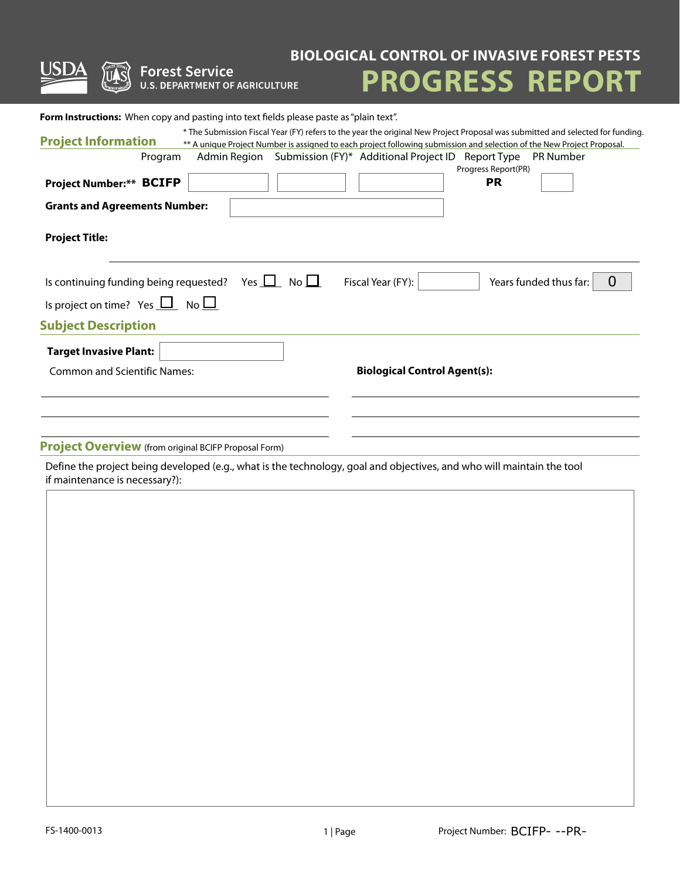| <b>Forest Service</b><br><b>U.S. DEPARTMENT OF AGRICULTURE</b>                                                                          | <b>BIOLOGICAL CONTROL OF INVASIVE FOREST PESTS</b><br><b>PROGRESS REPORT</b>                                                                                                                                                                                                                                                                    |
|-----------------------------------------------------------------------------------------------------------------------------------------|-------------------------------------------------------------------------------------------------------------------------------------------------------------------------------------------------------------------------------------------------------------------------------------------------------------------------------------------------|
| <b>Form Instructions:</b> When copy and pasting into text fields please paste as "plain text".<br><b>Project Information</b><br>Program | * The Submission Fiscal Year (FY) refers to the year the original New Project Proposal was submitted and selected for funding.<br>** A unique Project Number is assigned to each project following submission and selection of the New Project Proposal.<br>Admin Region Submission (FY)* Additional Project ID Report Type<br><b>PR Number</b> |
| Project Number:** BCIFP<br><b>Grants and Agreements Number:</b>                                                                         | Progress Report(PR)<br><b>PR</b>                                                                                                                                                                                                                                                                                                                |
| <b>Project Title:</b>                                                                                                                   |                                                                                                                                                                                                                                                                                                                                                 |
| Is continuing funding being requested?<br>Is project on time? Yes $\Box$ No $\Box$<br><b>Subject Description</b>                        | Yes $\Box$ No $\Box$<br>Fiscal Year (FY):<br>$\overline{0}$<br>Years funded thus far:                                                                                                                                                                                                                                                           |
| <b>Target Invasive Plant:</b><br><b>Common and Scientific Names:</b>                                                                    | <b>Biological Control Agent(s):</b>                                                                                                                                                                                                                                                                                                             |
| <b>Project Overview</b> (from original BCIFP Proposal Form)                                                                             |                                                                                                                                                                                                                                                                                                                                                 |

Define the project being developed (e.g., what is the technology, goal and objectives, and who will maintain the tool if maintenance is necessary?):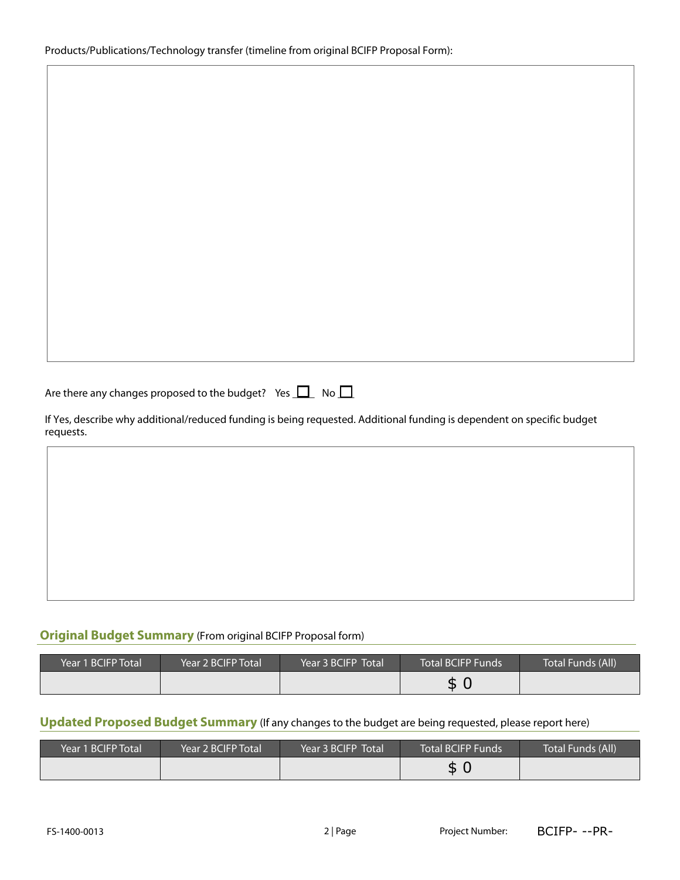Are there any changes proposed to the budget? Yes  $\Box$  No  $\Box$ 

If Yes, describe why additional/reduced funding is being requested. Additional funding is dependent on specific budget requests.

## **Original Budget Summary** (From original BCIFP Proposal form)

| Year 1 BCIFP Total | Year 2 BCIFP Total | Year 3 BCIFP Total | Total BCIFP Funds | Total Funds (All) |
|--------------------|--------------------|--------------------|-------------------|-------------------|
|                    |                    |                    | ◠<br>л            |                   |

### **Updated Proposed Budget Summary** (If any changes to the budget are being requested, please report here)

|                                                                                                        |                    |                    | \$0                      |                   |
|--------------------------------------------------------------------------------------------------------|--------------------|--------------------|--------------------------|-------------------|
| Updated Proposed Budget Summary (If any changes to the budget are being requested, please report here) |                    |                    |                          |                   |
|                                                                                                        |                    |                    |                          |                   |
| Year 1 BCIFP Total                                                                                     | Year 2 BCIFP Total | Year 3 BCIFP Total | <b>Total BCIFP Funds</b> | Total Funds (All) |
|                                                                                                        |                    |                    | \$0                      |                   |
|                                                                                                        |                    |                    |                          |                   |
|                                                                                                        |                    |                    |                          |                   |
| FS-1400-0013                                                                                           |                    | 2 Page             | Project Number:          | BCIFP---PR-       |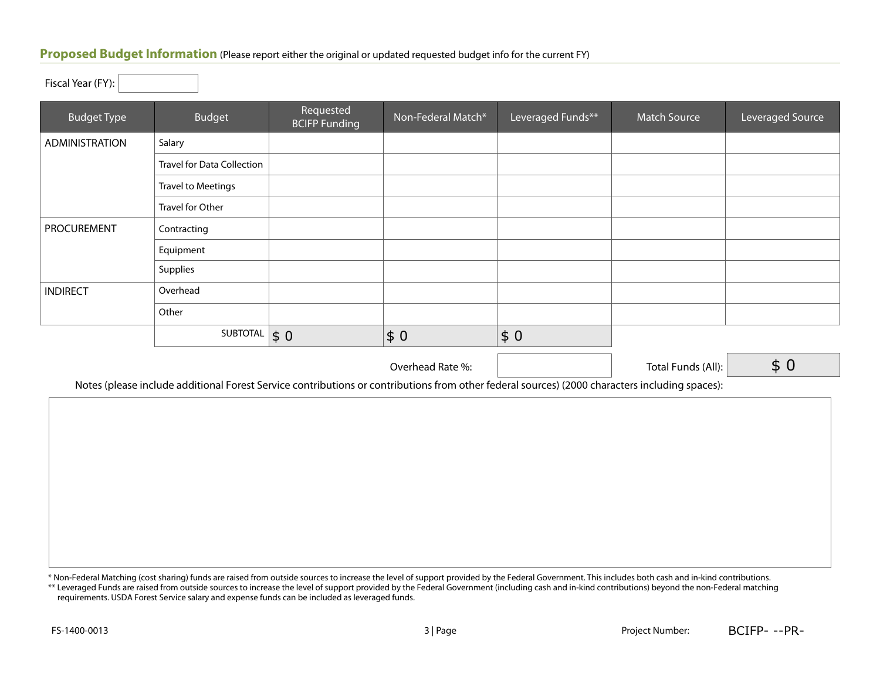#### **Proposed Budget Information** (Please report either the original or updated requested budget info for the current FY)

Fiscal Year (FY):

| <b>Budget Type</b> | <b>Budget</b>                     | Requested<br><b>BCIFP Funding</b> | Non-Federal Match*  | Leveraged Funds** | <b>Match Source</b> | Leveraged Source |
|--------------------|-----------------------------------|-----------------------------------|---------------------|-------------------|---------------------|------------------|
| ADMINISTRATION     | Salary                            |                                   |                     |                   |                     |                  |
|                    | <b>Travel for Data Collection</b> |                                   |                     |                   |                     |                  |
|                    | <b>Travel to Meetings</b>         |                                   |                     |                   |                     |                  |
|                    | Travel for Other                  |                                   |                     |                   |                     |                  |
| <b>PROCUREMENT</b> | Contracting                       |                                   |                     |                   |                     |                  |
|                    | Equipment                         |                                   |                     |                   |                     |                  |
|                    | Supplies                          |                                   |                     |                   |                     |                  |
| <b>INDIRECT</b>    | Overhead                          |                                   |                     |                   |                     |                  |
|                    | Other                             |                                   |                     |                   |                     |                  |
|                    | SUBTOTAL                          | $\vert \mathsf{s}\vert 0$         | $\vert \xi 0 \vert$ | \$0               |                     |                  |
|                    |                                   |                                   | Overhead Rate %:    |                   | Total Funds (All):  | \$0              |

Notes (please include additional Forest Service contributions or contributions from other federal sources) (2000 characters including spaces):

\* Non-Federal Matching (cost sharing) funds are raised from outside sources to increase the level of support provided by the Federal Government. This includes both cash and in-kind contributions.

\*\* Leveraged Funds are raised from outside sources to increase the level of support provided by the Federal Government (including cash and in-kind contributions) beyond the non-Federal matching requirements. USDA Forest Service salary and expense funds can be included as leveraged funds.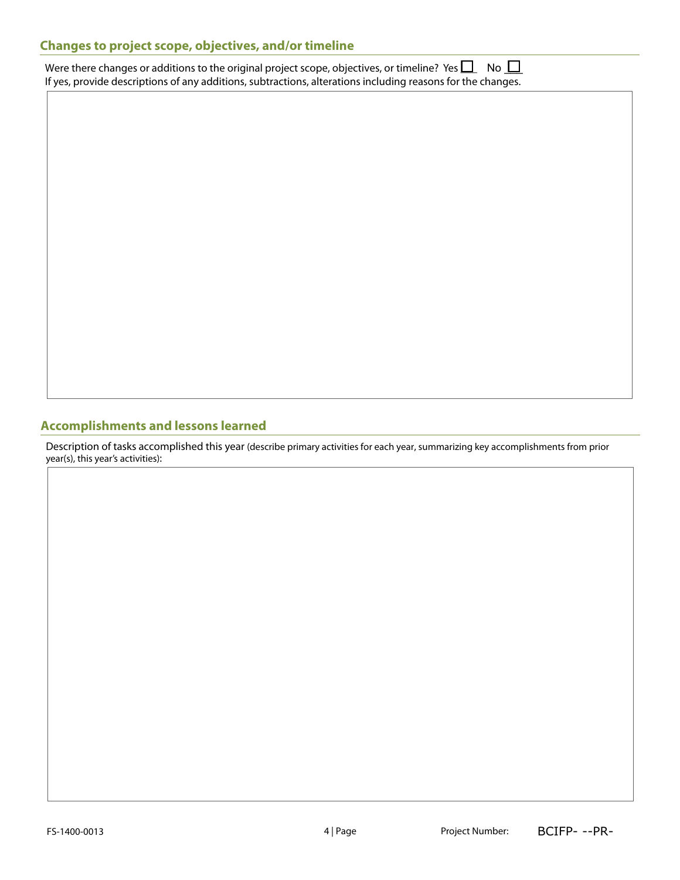# **Changes to project scope, objectives, and/or timeline**

Were there changes or additions to the original project scope, objectives, or timeline? Yes  $\Box$  No  $\Box$ If yes, provide descriptions of any additions, subtractions, alterations including reasons for the changes.

### **Accomplishments and lessons learned**

Description of tasks accomplished this year (describe primary activities for each year, summarizing key accomplishments from prior year(s), this year's activities):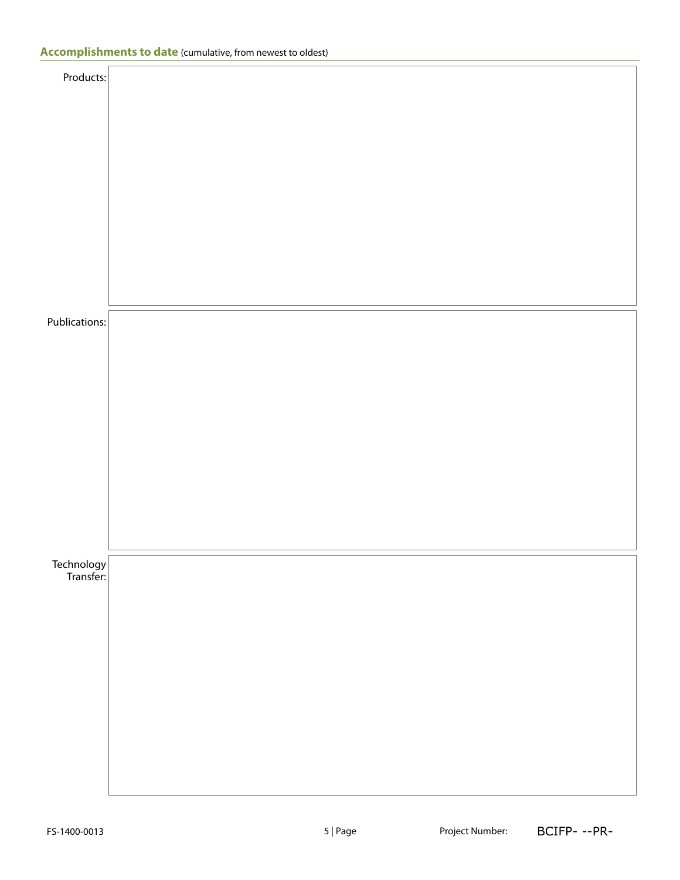| Publications:             |  |  |  |  |
|---------------------------|--|--|--|--|
|                           |  |  |  |  |
|                           |  |  |  |  |
|                           |  |  |  |  |
|                           |  |  |  |  |
|                           |  |  |  |  |
|                           |  |  |  |  |
|                           |  |  |  |  |
|                           |  |  |  |  |
|                           |  |  |  |  |
|                           |  |  |  |  |
|                           |  |  |  |  |
|                           |  |  |  |  |
|                           |  |  |  |  |
|                           |  |  |  |  |
|                           |  |  |  |  |
| Technology<br> -Transfer: |  |  |  |  |
|                           |  |  |  |  |
|                           |  |  |  |  |
|                           |  |  |  |  |
|                           |  |  |  |  |
|                           |  |  |  |  |
|                           |  |  |  |  |
|                           |  |  |  |  |
|                           |  |  |  |  |
|                           |  |  |  |  |
|                           |  |  |  |  |